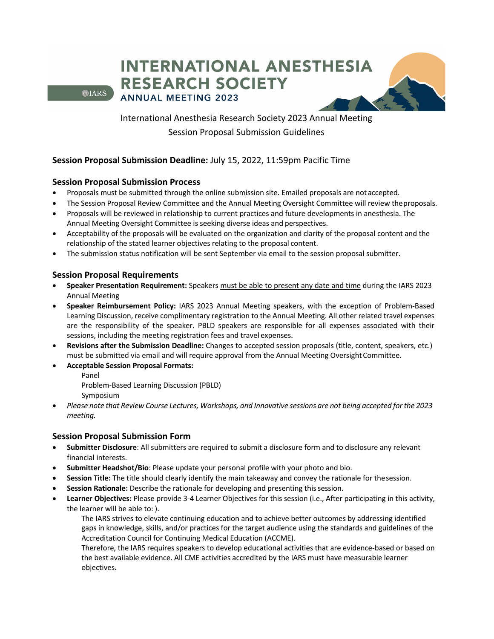**INTERNATIONAL ANESTHESIA RESEARCH SOCIETY ANNUAL MEETING 2023** 

**O**IARS

International Anesthesia Research Society 2023 Annual Meeting Session Proposal Submission Guidelines

## **Session Proposal Submission Deadline:** July 15, 2022, 11:59pm Pacific Time

## **Session Proposal Submission Process**

- Proposals must be submitted through the online submission site. Emailed proposals are notaccepted.
- The Session Proposal Review Committee and the Annual Meeting Oversight Committee will review theproposals.
- Proposals will be reviewed in relationship to current practices and future developments in anesthesia. The Annual Meeting Oversight Committee is seeking diverse ideas and perspectives.
- Acceptability of the proposals will be evaluated on the organization and clarity of the proposal content and the relationship of the stated learner objectives relating to the proposal content.
- The submission status notification will be sent September via email to the session proposal submitter.

## **Session Proposal Requirements**

- **Speaker Presentation Requirement:** Speakers must be able to present any date and time during the IARS 2023 Annual Meeting
- **Speaker Reimbursement Policy:** IARS 2023 Annual Meeting speakers, with the exception of Problem-Based Learning Discussion, receive complimentary registration to the Annual Meeting. All other related travel expenses are the responsibility of the speaker. PBLD speakers are responsible for all expenses associated with their sessions, including the meeting registration fees and travel expenses.
- **Revisions after the Submission Deadline:** Changes to accepted session proposals (title, content, speakers, etc.) must be submitted via email and will require approval from the Annual Meeting Oversight Committee.
- **Acceptable Session Proposal Formats:**
	- Panel
	- Problem-Based Learning Discussion (PBLD)
	- Symposium
- *Please note that Review Course Lectures, Workshops, and Innovative sessions are not being accepted for the 2023 meeting.*

## **Session Proposal Submission Form**

- **Submitter Disclosure**: All submitters are required to submit a disclosure form and to disclosure any relevant financial interests.
- **Submitter Headshot/Bio**: Please update your personal profile with your photo and bio.
- **Session Title:** The title should clearly identify the main takeaway and convey the rationale for thesession.
- Session Rationale: Describe the rationale for developing and presenting this session.
- **Learner Objectives:** Please provide 3-4 Learner Objectives for this session (i.e., After participating in this activity, the learner will be able to: ).

The IARS strives to elevate continuing education and to achieve better outcomes by addressing identified gaps in knowledge, skills, and/or practices for the target audience using the standards and guidelines of the Accreditation Council for Continuing Medical Education (ACCME).

Therefore, the IARS requires speakers to develop educational activities that are evidence-based or based on the best available evidence. All CME activities accredited by the IARS must have measurable learner objectives.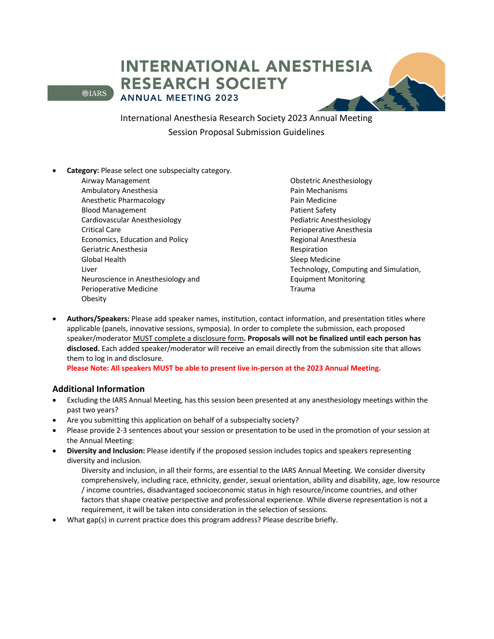# **INTERNATIONAL ANESTHESIA RESEARCH SOCIETY ANNUAL MEETING 2023**

**OLARS** 

International Anesthesia Research Society 2023 Annual Meeting Session Proposal Submission Guidelines

- **Category:** Please select one subspecialty category.
	- Airway Management Ambulatory Anesthesia Anesthetic Pharmacology Blood Management Cardiovascular Anesthesiology Critical Care Economics, Education and Policy Geriatric Anesthesia Global Health Liver Neuroscience in Anesthesiology and Perioperative Medicine Obesity

Obstetric Anesthesiology Pain Mechanisms Pain Medicine Patient Safety Pediatric Anesthesiology Perioperative Anesthesia Regional Anesthesia Respiration Sleep Medicine Technology, Computing and Simulation, Equipment Monitoring Trauma

• **Authors/Speakers:** Please add speaker names, institution, contact information, and presentation titles where applicable (panels, innovative sessions, symposia). In order to complete the submission, each proposed speaker/moderator MUST complete a disclosure form**. Proposals will not be finalized until each person has disclosed.** Each added speaker/moderator will receive an email directly from the submission site that allows them to log in and disclosure.

**Please Note: All speakers MUST be able to present live in-person at the 2023 Annual Meeting.** 

## **Additional Information**

- Excluding the IARS Annual Meeting, has this session been presented at any anesthesiology meetings within the past two years?
- Are you submitting this application on behalf of a subspecialty society?
- Please provide 2-3 sentences about your session or presentation to be used in the promotion of your session at the Annual Meeting:
- **Diversity and Inclusion:** Please identify if the proposed session includes topics and speakers representing diversity and inclusion.

Diversity and inclusion, in all their forms, are essential to the IARS Annual Meeting. We consider diversity comprehensively, including race, ethnicity, gender, sexual orientation, ability and disability, age, low resource / income countries, disadvantaged socioeconomic status in high resource/income countries, and other factors that shape creative perspective and professional experience. While diverse representation is not a requirement, it will be taken into consideration in the selection of sessions.

• What gap(s) in current practice does this program address? Please describe briefly.